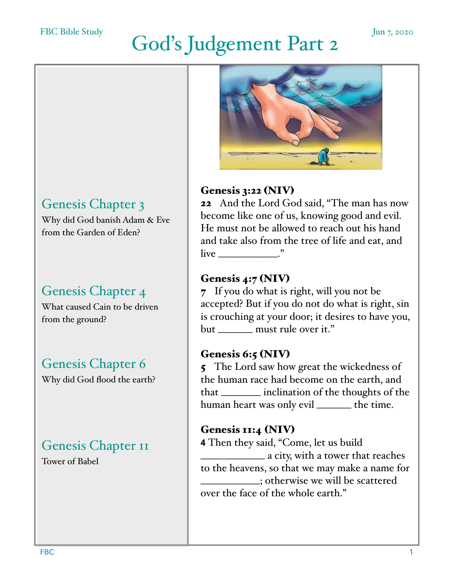#### FBC Bible Study

# God's Judgement Part 2

## Genesis Chapter 3

Why did God banish Adam & Eve from the Garden of Eden?

## Genesis Chapter 4

What caused Cain to be driven from the ground?

## Genesis Chapter 6

Why did God flood the earth?

# Genesis Chapter II

Tower of Babel



## Genesis 3:22 (NIV)

22 And the Lord God said, "The man has now become like one of us, knowing good and evil. He must not be allowed to reach out his hand and take also from the tree of life and eat, and  $\lim_{n \to \infty}$   $\lim_{n \to \infty}$ 

### Genesis 4:7 (NIV)

7 If you do what is right, will you not be accepted? But if you do not do what is right, sin is crouching at your door; it desires to have you, but \_\_\_\_\_\_\_ must rule over it."

### Genesis 6:5 (NIV)

5 The Lord saw how great the wickedness of the human race had become on the earth, and that \_\_\_\_\_\_\_\_ inclination of the thoughts of the human heart was only evil \_\_\_\_\_\_\_ the time.

#### Genesis 11:4 (NIV)

**4** Then they said, "Come, let us build \_\_\_\_\_\_\_\_\_\_\_\_\_ a city, with a tower that reaches to the heavens, so that we may make a name for \_\_\_\_\_\_\_\_\_\_\_\_; otherwise we will be scattered over the face of the whole earth."